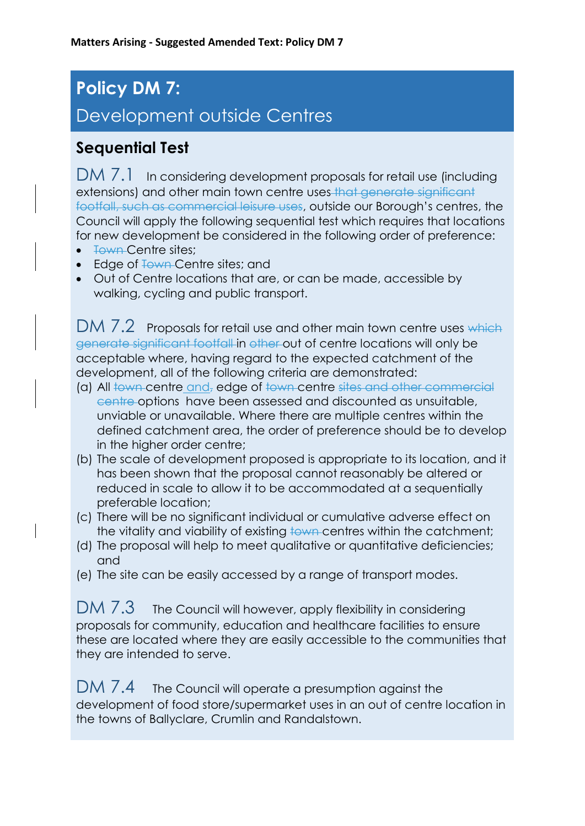# **Policy DM 7:**  Development outside Centres

#### **Sequential Test**

DM 7.1 In considering development proposals for retail use (including extensions) and other main town centre uses that generate significant footfall, such as commercial leisure uses, outside our Borough's centres, the Council will apply the following sequential test which requires that locations for new development be considered in the following order of preference:

- <del>Town Centre sites;</del>
- Edge of Town Centre sites; and
- Out of Centre locations that are, or can be made, accessible by walking, cycling and public transport.

DM 7.2 Proposals for retail use and other main town centre uses which generate significant footfall in other out of centre locations will only be acceptable where, having regard to the expected catchment of the development, all of the following criteria are demonstrated:

- (a) All town centre and, edge of town centre sites and other commercial centre options have been assessed and discounted as unsuitable, unviable or unavailable. Where there are multiple centres within the defined catchment area, the order of preference should be to develop in the higher order centre;
- (b) The scale of development proposed is appropriate to its location, and it has been shown that the proposal cannot reasonably be altered or reduced in scale to allow it to be accommodated at a sequentially preferable location;
- (c) There will be no significant individual or cumulative adverse effect on the vitality and viability of existing to the centres within the catchment;
- (d) The proposal will help to meet qualitative or quantitative deficiencies; and
- (e) The site can be easily accessed by a range of transport modes.

DM 7.3 The Council will however, apply flexibility in considering proposals for community, education and healthcare facilities to ensure these are located where they are easily accessible to the communities that they are intended to serve.

DM 7.4 The Council will operate a presumption against the development of food store/supermarket uses in an out of centre location in the towns of Ballyclare, Crumlin and Randalstown.